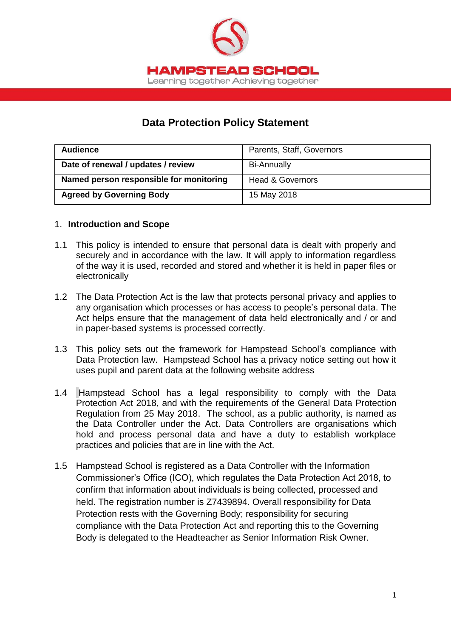

# **Data Protection Policy Statement**

| <b>Audience</b>                         | Parents, Staff, Governors   |
|-----------------------------------------|-----------------------------|
| Date of renewal / updates / review      | <b>Bi-Annually</b>          |
| Named person responsible for monitoring | <b>Head &amp; Governors</b> |
| <b>Agreed by Governing Body</b>         | 15 May 2018                 |

#### 1. **Introduction and Scope**

- 1.1 This policy is intended to ensure that personal data is dealt with properly and securely and in accordance with the law. It will apply to information regardless of the way it is used, recorded and stored and whether it is held in paper files or electronically
- 1.2 The Data Protection Act is the law that protects personal privacy and applies to any organisation which processes or has access to people's personal data. The Act helps ensure that the management of data held electronically and / or and in paper-based systems is processed correctly.
- 1.3 This policy sets out the framework for Hampstead School's compliance with Data Protection law. Hampstead School has a privacy notice setting out how it uses pupil and parent data at the following website address
- 1.4 Hampstead School has a legal responsibility to comply with the Data Protection Act 2018, and with the requirements of the General Data Protection Regulation from 25 May 2018. The school, as a public authority, is named as the Data Controller under the Act. Data Controllers are organisations which hold and process personal data and have a duty to establish workplace practices and policies that are in line with the Act.
- 1.5 Hampstead School is registered as a Data Controller with the Information Commissioner's Office (ICO), which regulates the Data Protection Act 2018, to confirm that information about individuals is being collected, processed and held. The registration number is Z7439894. Overall responsibility for Data Protection rests with the Governing Body; responsibility for securing compliance with the Data Protection Act and reporting this to the Governing Body is delegated to the Headteacher as Senior Information Risk Owner.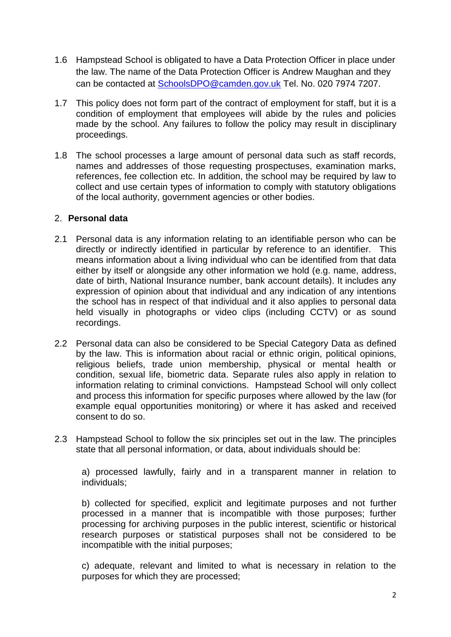- 1.6 Hampstead School is obligated to have a Data Protection Officer in place under the law. The name of the Data Protection Officer is Andrew Maughan and they can be contacted at [SchoolsDPO@camden.gov.uk](mailto:SchoolsDPO@camden.gov.uk) Tel. No. 020 7974 7207.
- 1.7 This policy does not form part of the contract of employment for staff, but it is a condition of employment that employees will abide by the rules and policies made by the school. Any failures to follow the policy may result in disciplinary proceedings.
- 1.8 The school processes a large amount of personal data such as staff records, names and addresses of those requesting prospectuses, examination marks, references, fee collection etc. In addition, the school may be required by law to collect and use certain types of information to comply with statutory obligations of the local authority, government agencies or other bodies.

#### 2. **Personal data**

- 2.1 Personal data is any information relating to an identifiable person who can be directly or indirectly identified in particular by reference to an identifier. This means information about a living individual who can be identified from that data either by itself or alongside any other information we hold (e.g. name, address, date of birth, National Insurance number, bank account details). It includes any expression of opinion about that individual and any indication of any intentions the school has in respect of that individual and it also applies to personal data held visually in photographs or video clips (including CCTV) or as sound recordings.
- 2.2 Personal data can also be considered to be Special Category Data as defined by the law. This is information about racial or ethnic origin, political opinions, religious beliefs, trade union membership, physical or mental health or condition, sexual life, biometric data. Separate rules also apply in relation to information relating to criminal convictions. Hampstead School will only collect and process this information for specific purposes where allowed by the law (for example equal opportunities monitoring) or where it has asked and received consent to do so.
- 2.3 Hampstead School to follow the six principles set out in the law. The principles state that all personal information, or data, about individuals should be:

a) processed lawfully, fairly and in a transparent manner in relation to individuals;

b) collected for specified, explicit and legitimate purposes and not further processed in a manner that is incompatible with those purposes; further processing for archiving purposes in the public interest, scientific or historical research purposes or statistical purposes shall not be considered to be incompatible with the initial purposes;

c) adequate, relevant and limited to what is necessary in relation to the purposes for which they are processed;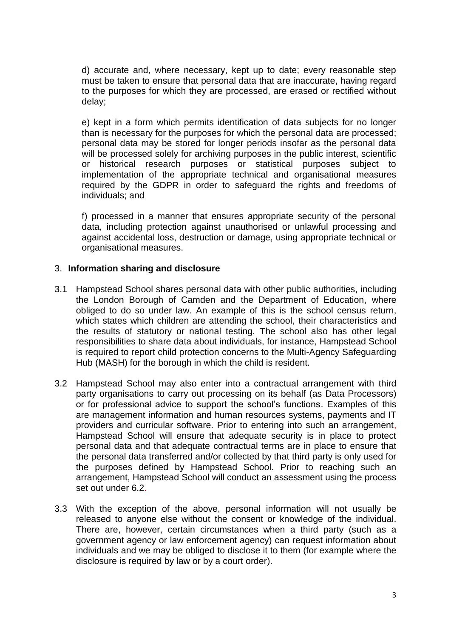d) accurate and, where necessary, kept up to date; every reasonable step must be taken to ensure that personal data that are inaccurate, having regard to the purposes for which they are processed, are erased or rectified without delay;

e) kept in a form which permits identification of data subjects for no longer than is necessary for the purposes for which the personal data are processed; personal data may be stored for longer periods insofar as the personal data will be processed solely for archiving purposes in the public interest, scientific or historical research purposes or statistical purposes subject to implementation of the appropriate technical and organisational measures required by the GDPR in order to safeguard the rights and freedoms of individuals; and

f) processed in a manner that ensures appropriate security of the personal data, including protection against unauthorised or unlawful processing and against accidental loss, destruction or damage, using appropriate technical or organisational measures.

#### 3. **Information sharing and disclosure**

- 3.1 Hampstead School shares personal data with other public authorities, including the London Borough of Camden and the Department of Education, where obliged to do so under law. An example of this is the school census return, which states which children are attending the school, their characteristics and the results of statutory or national testing. The school also has other legal responsibilities to share data about individuals, for instance, Hampstead School is required to report child protection concerns to the Multi-Agency Safeguarding Hub (MASH) for the borough in which the child is resident.
- 3.2 Hampstead School may also enter into a contractual arrangement with third party organisations to carry out processing on its behalf (as Data Processors) or for professional advice to support the school's functions. Examples of this are management information and human resources systems, payments and IT providers and curricular software. Prior to entering into such an arrangement, Hampstead School will ensure that adequate security is in place to protect personal data and that adequate contractual terms are in place to ensure that the personal data transferred and/or collected by that third party is only used for the purposes defined by Hampstead School. Prior to reaching such an arrangement, Hampstead School will conduct an assessment using the process set out under 6.2.
- 3.3 With the exception of the above, personal information will not usually be released to anyone else without the consent or knowledge of the individual. There are, however, certain circumstances when a third party (such as a government agency or law enforcement agency) can request information about individuals and we may be obliged to disclose it to them (for example where the disclosure is required by law or by a court order).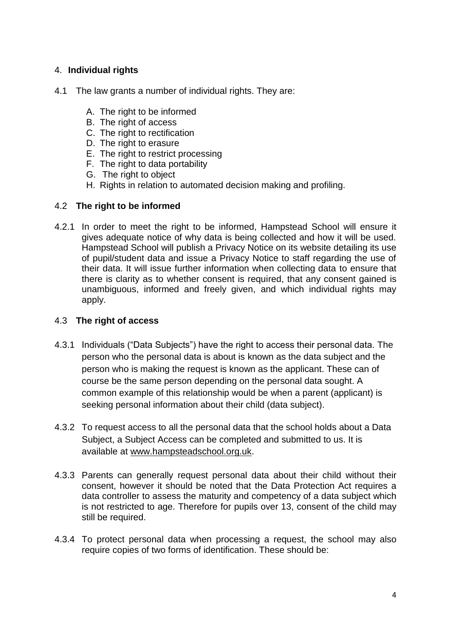## 4. **Individual rights**

- 4.1 The law grants a number of individual rights. They are:
	- A. The right to be informed
	- B. The right of access
	- C. The right to rectification
	- D. The right to erasure
	- E. The right to restrict processing
	- F. The right to data portability
	- G. The right to object
	- H. Rights in relation to automated decision making and profiling.

#### 4.2 **The right to be informed**

4.2.1 In order to meet the right to be informed, Hampstead School will ensure it gives adequate notice of why data is being collected and how it will be used. Hampstead School will publish a Privacy Notice on its website detailing its use of pupil/student data and issue a Privacy Notice to staff regarding the use of their data. It will issue further information when collecting data to ensure that there is clarity as to whether consent is required, that any consent gained is unambiguous, informed and freely given, and which individual rights may apply.

### 4.3 **The right of access**

- 4.3.1 Individuals ("Data Subjects") have the right to access their personal data. The person who the personal data is about is known as the data subject and the person who is making the request is known as the applicant. These can of course be the same person depending on the personal data sought. A common example of this relationship would be when a parent (applicant) is seeking personal information about their child (data subject).
- 4.3.2 To request access to all the personal data that the school holds about a Data Subject, a Subject Access can be completed and submitted to us. It is available at [www.hampsteadschool.org.uk.](http://www.hampsteadschool.org.uk/)
- 4.3.3 Parents can generally request personal data about their child without their consent, however it should be noted that the Data Protection Act requires a data controller to assess the maturity and competency of a data subject which is not restricted to age. Therefore for pupils over 13, consent of the child may still be required.
- 4.3.4 To protect personal data when processing a request, the school may also require copies of two forms of identification. These should be: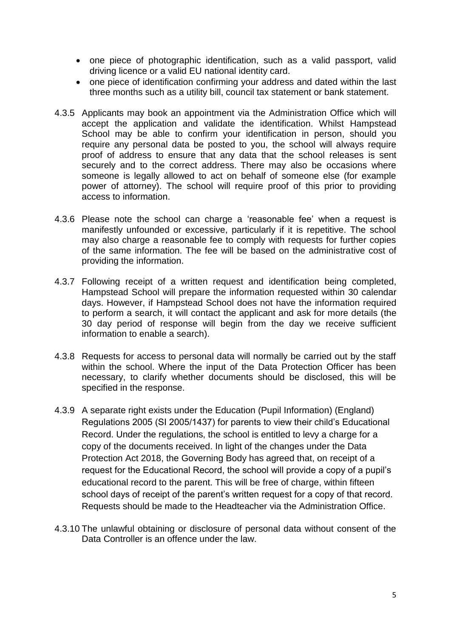- one piece of photographic identification, such as a valid passport, valid driving licence or a valid EU national identity card.
- one piece of identification confirming your address and dated within the last three months such as a utility bill, council tax statement or bank statement.
- 4.3.5 Applicants may book an appointment via the Administration Office which will accept the application and validate the identification. Whilst Hampstead School may be able to confirm your identification in person, should you require any personal data be posted to you, the school will always require proof of address to ensure that any data that the school releases is sent securely and to the correct address. There may also be occasions where someone is legally allowed to act on behalf of someone else (for example power of attorney). The school will require proof of this prior to providing access to information.
- 4.3.6 Please note the school can charge a 'reasonable fee' when a request is manifestly unfounded or excessive, particularly if it is repetitive. The school may also charge a reasonable fee to comply with requests for further copies of the same information. The fee will be based on the administrative cost of providing the information.
- 4.3.7 Following receipt of a written request and identification being completed, Hampstead School will prepare the information requested within 30 calendar days. However, if Hampstead School does not have the information required to perform a search, it will contact the applicant and ask for more details (the 30 day period of response will begin from the day we receive sufficient information to enable a search).
- 4.3.8 Requests for access to personal data will normally be carried out by the staff within the school. Where the input of the Data Protection Officer has been necessary, to clarify whether documents should be disclosed, this will be specified in the response.
- 4.3.9 A separate right exists under the Education (Pupil Information) (England) Regulations 2005 (SI 2005/1437) for parents to view their child's Educational Record. Under the regulations, the school is entitled to levy a charge for a copy of the documents received. In light of the changes under the Data Protection Act 2018, the Governing Body has agreed that, on receipt of a request for the Educational Record, the school will provide a copy of a pupil's educational record to the parent. This will be free of charge, within fifteen school days of receipt of the parent's written request for a copy of that record. Requests should be made to the Headteacher via the Administration Office.
- 4.3.10 The unlawful obtaining or disclosure of personal data without consent of the Data Controller is an offence under the law.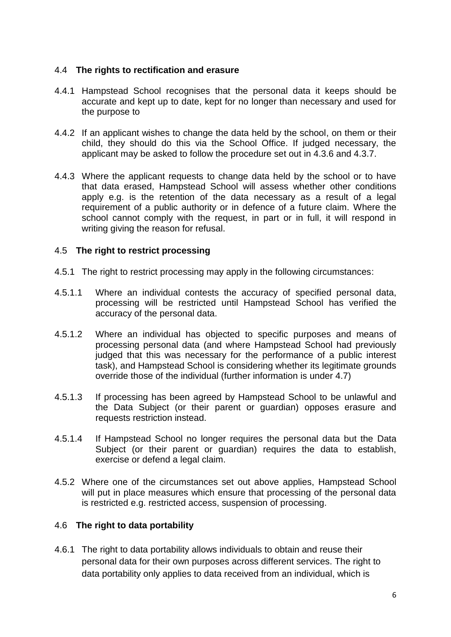#### 4.4 **The rights to rectification and erasure**

- 4.4.1 Hampstead School recognises that the personal data it keeps should be accurate and kept up to date, kept for no longer than necessary and used for the purpose to
- 4.4.2 If an applicant wishes to change the data held by the school, on them or their child, they should do this via the School Office. If judged necessary, the applicant may be asked to follow the procedure set out in 4.3.6 and 4.3.7.
- 4.4.3 Where the applicant requests to change data held by the school or to have that data erased, Hampstead School will assess whether other conditions apply e.g. is the retention of the data necessary as a result of a legal requirement of a public authority or in defence of a future claim. Where the school cannot comply with the request, in part or in full, it will respond in writing giving the reason for refusal.

#### 4.5 **The right to restrict processing**

- 4.5.1 The right to restrict processing may apply in the following circumstances:
- 4.5.1.1 Where an individual contests the accuracy of specified personal data, processing will be restricted until Hampstead School has verified the accuracy of the personal data.
- 4.5.1.2 Where an individual has objected to specific purposes and means of processing personal data (and where Hampstead School had previously judged that this was necessary for the performance of a public interest task), and Hampstead School is considering whether its legitimate grounds override those of the individual (further information is under 4.7)
- 4.5.1.3 If processing has been agreed by Hampstead School to be unlawful and the Data Subject (or their parent or guardian) opposes erasure and requests restriction instead.
- 4.5.1.4 If Hampstead School no longer requires the personal data but the Data Subject (or their parent or guardian) requires the data to establish, exercise or defend a legal claim.
- 4.5.2 Where one of the circumstances set out above applies, Hampstead School will put in place measures which ensure that processing of the personal data is restricted e.g. restricted access, suspension of processing.

## 4.6 **The right to data portability**

4.6.1 The right to data portability allows individuals to obtain and reuse their personal data for their own purposes across different services. The right to data portability only applies to data received from an individual, which is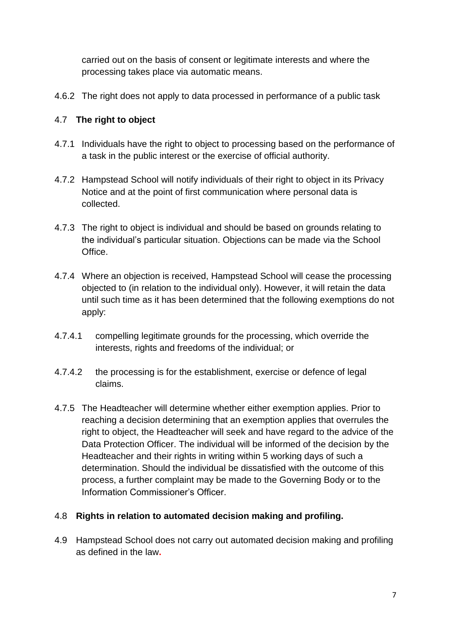carried out on the basis of consent or legitimate interests and where the processing takes place via automatic means.

4.6.2 The right does not apply to data processed in performance of a public task

## 4.7 **The right to object**

- 4.7.1 Individuals have the right to object to processing based on the performance of a task in the public interest or the exercise of official authority.
- 4.7.2 Hampstead School will notify individuals of their right to object in its Privacy Notice and at the point of first communication where personal data is collected.
- 4.7.3 The right to object is individual and should be based on grounds relating to the individual's particular situation. Objections can be made via the School Office.
- 4.7.4 Where an objection is received, Hampstead School will cease the processing objected to (in relation to the individual only). However, it will retain the data until such time as it has been determined that the following exemptions do not apply:
- 4.7.4.1 compelling legitimate grounds for the processing, which override the interests, rights and freedoms of the individual; or
- 4.7.4.2 the processing is for the establishment, exercise or defence of legal claims.
- 4.7.5 The Headteacher will determine whether either exemption applies. Prior to reaching a decision determining that an exemption applies that overrules the right to object, the Headteacher will seek and have regard to the advice of the Data Protection Officer. The individual will be informed of the decision by the Headteacher and their rights in writing within 5 working days of such a determination. Should the individual be dissatisfied with the outcome of this process, a further complaint may be made to the Governing Body or to the Information Commissioner's Officer.

## 4.8 **Rights in relation to automated decision making and profiling.**

4.9 Hampstead School does not carry out automated decision making and profiling as defined in the law**.**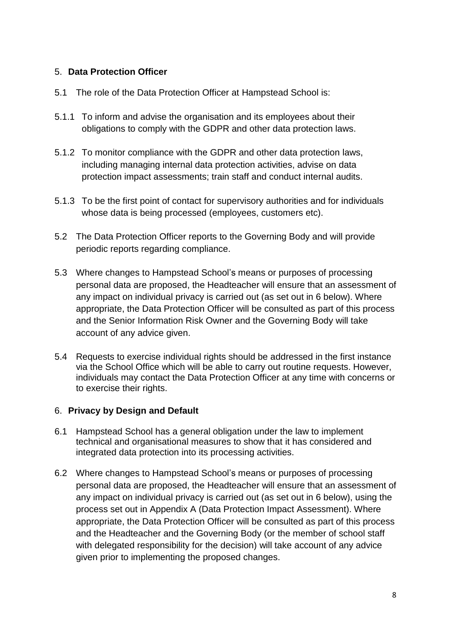### 5. **Data Protection Officer**

- 5.1 The role of the Data Protection Officer at Hampstead School is:
- 5.1.1 To inform and advise the organisation and its employees about their obligations to comply with the GDPR and other data protection laws.
- 5.1.2 To monitor compliance with the GDPR and other data protection laws, including managing internal data protection activities, advise on data protection impact assessments; train staff and conduct internal audits.
- 5.1.3 To be the first point of contact for supervisory authorities and for individuals whose data is being processed (employees, customers etc).
- 5.2 The Data Protection Officer reports to the Governing Body and will provide periodic reports regarding compliance.
- 5.3 Where changes to Hampstead School's means or purposes of processing personal data are proposed, the Headteacher will ensure that an assessment of any impact on individual privacy is carried out (as set out in 6 below). Where appropriate, the Data Protection Officer will be consulted as part of this process and the Senior Information Risk Owner and the Governing Body will take account of any advice given.
- 5.4 Requests to exercise individual rights should be addressed in the first instance via the School Office which will be able to carry out routine requests. However, individuals may contact the Data Protection Officer at any time with concerns or to exercise their rights.

## 6. **Privacy by Design and Default**

- 6.1 Hampstead School has a general obligation under the law to implement technical and organisational measures to show that it has considered and integrated data protection into its processing activities.
- 6.2 Where changes to Hampstead School's means or purposes of processing personal data are proposed, the Headteacher will ensure that an assessment of any impact on individual privacy is carried out (as set out in 6 below), using the process set out in Appendix A (Data Protection Impact Assessment). Where appropriate, the Data Protection Officer will be consulted as part of this process and the Headteacher and the Governing Body (or the member of school staff with delegated responsibility for the decision) will take account of any advice given prior to implementing the proposed changes.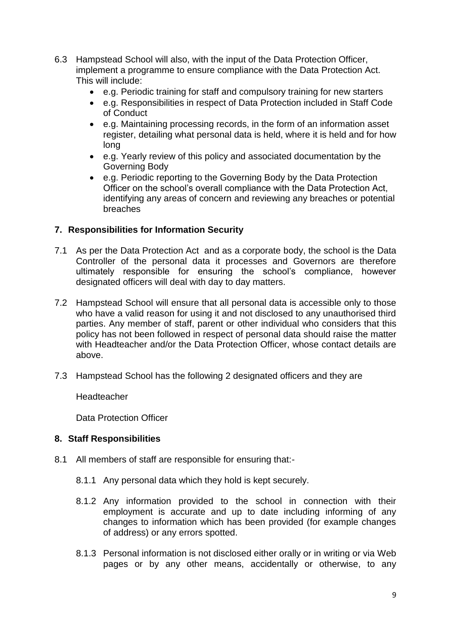- 6.3 Hampstead School will also, with the input of the Data Protection Officer, implement a programme to ensure compliance with the Data Protection Act. This will include:
	- e.g. Periodic training for staff and compulsory training for new starters
	- e.g. Responsibilities in respect of Data Protection included in Staff Code of Conduct
	- e.g. Maintaining processing records, in the form of an information asset register, detailing what personal data is held, where it is held and for how long
	- e.g. Yearly review of this policy and associated documentation by the Governing Body
	- e.g. Periodic reporting to the Governing Body by the Data Protection Officer on the school's overall compliance with the Data Protection Act, identifying any areas of concern and reviewing any breaches or potential breaches

#### **7. Responsibilities for Information Security**

- 7.1 As per the Data Protection Act and as a corporate body, the school is the Data Controller of the personal data it processes and Governors are therefore ultimately responsible for ensuring the school's compliance, however designated officers will deal with day to day matters.
- 7.2 Hampstead School will ensure that all personal data is accessible only to those who have a valid reason for using it and not disclosed to any unauthorised third parties. Any member of staff, parent or other individual who considers that this policy has not been followed in respect of personal data should raise the matter with Headteacher and/or the Data Protection Officer, whose contact details are above.
- 7.3 Hampstead School has the following 2 designated officers and they are

**Headteacher** 

Data Protection Officer

## **8. Staff Responsibilities**

- 8.1 All members of staff are responsible for ensuring that:-
	- 8.1.1 Any personal data which they hold is kept securely.
	- 8.1.2 Any information provided to the school in connection with their employment is accurate and up to date including informing of any changes to information which has been provided (for example changes of address) or any errors spotted.
	- 8.1.3 Personal information is not disclosed either orally or in writing or via Web pages or by any other means, accidentally or otherwise, to any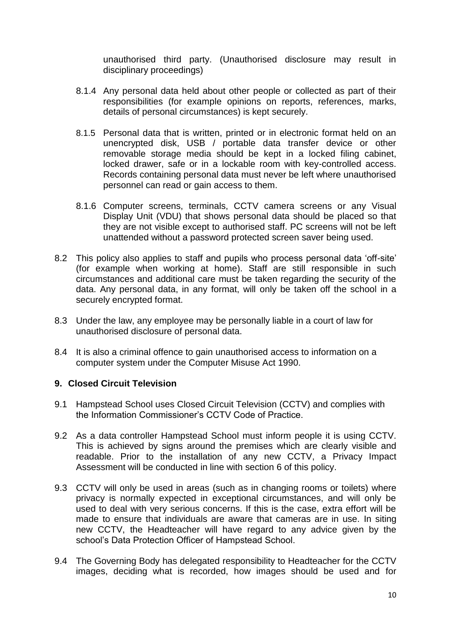unauthorised third party. (Unauthorised disclosure may result in disciplinary proceedings)

- 8.1.4 Any personal data held about other people or collected as part of their responsibilities (for example opinions on reports, references, marks, details of personal circumstances) is kept securely.
- 8.1.5 Personal data that is written, printed or in electronic format held on an unencrypted disk, USB / portable data transfer device or other removable storage media should be kept in a locked filing cabinet, locked drawer, safe or in a lockable room with key-controlled access. Records containing personal data must never be left where unauthorised personnel can read or gain access to them.
- 8.1.6 Computer screens, terminals, CCTV camera screens or any Visual Display Unit (VDU) that shows personal data should be placed so that they are not visible except to authorised staff. PC screens will not be left unattended without a password protected screen saver being used.
- 8.2 This policy also applies to staff and pupils who process personal data 'off-site' (for example when working at home). Staff are still responsible in such circumstances and additional care must be taken regarding the security of the data. Any personal data, in any format, will only be taken off the school in a securely encrypted format.
- 8.3 Under the law, any employee may be personally liable in a court of law for unauthorised disclosure of personal data.
- 8.4 It is also a criminal offence to gain unauthorised access to information on a computer system under the Computer Misuse Act 1990.

#### **9. Closed Circuit Television**

- 9.1 Hampstead School uses Closed Circuit Television (CCTV) and complies with the Information Commissioner's CCTV Code of Practice.
- 9.2 As a data controller Hampstead School must inform people it is using CCTV. This is achieved by signs around the premises which are clearly visible and readable. Prior to the installation of any new CCTV, a Privacy Impact Assessment will be conducted in line with section 6 of this policy.
- 9.3 CCTV will only be used in areas (such as in changing rooms or toilets) where privacy is normally expected in exceptional circumstances, and will only be used to deal with very serious concerns. If this is the case, extra effort will be made to ensure that individuals are aware that cameras are in use. In siting new CCTV, the Headteacher will have regard to any advice given by the school's Data Protection Officer of Hampstead School.
- 9.4 The Governing Body has delegated responsibility to Headteacher for the CCTV images, deciding what is recorded, how images should be used and for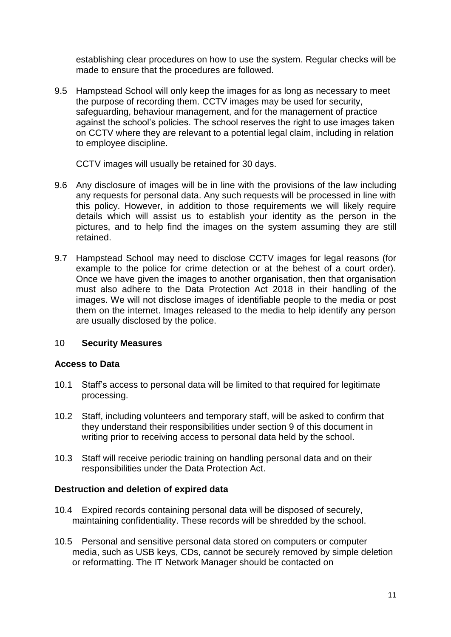establishing clear procedures on how to use the system. Regular checks will be made to ensure that the procedures are followed.

9.5 Hampstead School will only keep the images for as long as necessary to meet the purpose of recording them. CCTV images may be used for security, safeguarding, behaviour management, and for the management of practice against the school's policies. The school reserves the right to use images taken on CCTV where they are relevant to a potential legal claim, including in relation to employee discipline.

CCTV images will usually be retained for 30 days.

- 9.6 Any disclosure of images will be in line with the provisions of the law including any requests for personal data. Any such requests will be processed in line with this policy. However, in addition to those requirements we will likely require details which will assist us to establish your identity as the person in the pictures, and to help find the images on the system assuming they are still retained.
- 9.7 Hampstead School may need to disclose CCTV images for legal reasons (for example to the police for crime detection or at the behest of a court order). Once we have given the images to another organisation, then that organisation must also adhere to the Data Protection Act 2018 in their handling of the images. We will not disclose images of identifiable people to the media or post them on the internet. Images released to the media to help identify any person are usually disclosed by the police.

#### 10 **Security Measures**

#### **Access to Data**

- 10.1 Staff's access to personal data will be limited to that required for legitimate processing.
- 10.2 Staff, including volunteers and temporary staff, will be asked to confirm that they understand their responsibilities under section 9 of this document in writing prior to receiving access to personal data held by the school.
- 10.3 Staff will receive periodic training on handling personal data and on their responsibilities under the Data Protection Act.

#### **Destruction and deletion of expired data**

- 10.4 Expired records containing personal data will be disposed of securely, maintaining confidentiality. These records will be shredded by the school.
- 10.5 Personal and sensitive personal data stored on computers or computer media, such as USB keys, CDs, cannot be securely removed by simple deletion or reformatting. The IT Network Manager should be contacted on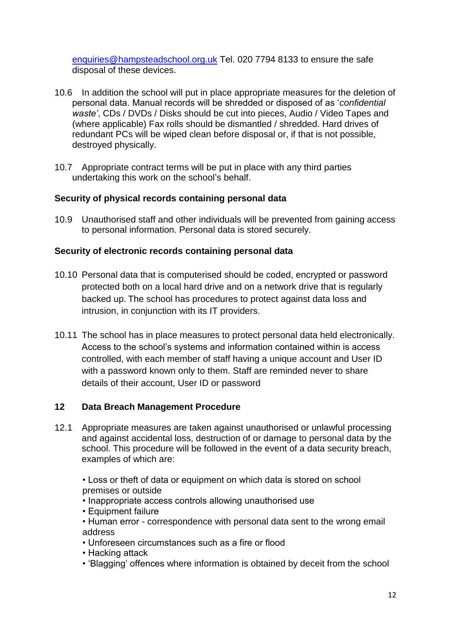[enquiries@hampsteadschool.org.uk](mailto:enquiries@hampsteadschool.org.uk) Tel. 020 7794 8133 to ensure the safe disposal of these devices.

- 10.6 In addition the school will put in place appropriate measures for the deletion of personal data. Manual records will be shredded or disposed of as '*confidential waste'*, CDs / DVDs / Disks should be cut into pieces, Audio / Video Tapes and (where applicable) Fax rolls should be dismantled / shredded. Hard drives of redundant PCs will be wiped clean before disposal or, if that is not possible, destroyed physically.
- 10.7 Appropriate contract terms will be put in place with any third parties undertaking this work on the school's behalf.

## **Security of physical records containing personal data**

10.9 Unauthorised staff and other individuals will be prevented from gaining access to personal information. Personal data is stored securely.

#### **Security of electronic records containing personal data**

- 10.10 Personal data that is computerised should be coded, encrypted or password protected both on a local hard drive and on a network drive that is regularly backed up. The school has procedures to protect against data loss and intrusion, in conjunction with its IT providers.
- 10.11 The school has in place measures to protect personal data held electronically. Access to the school's systems and information contained within is access controlled, with each member of staff having a unique account and User ID with a password known only to them. Staff are reminded never to share details of their account, User ID or password

#### **12 Data Breach Management Procedure**

12.1 Appropriate measures are taken against unauthorised or unlawful processing and against accidental loss, destruction of or damage to personal data by the school. This procedure will be followed in the event of a data security breach, examples of which are:

• Loss or theft of data or equipment on which data is stored on school premises or outside

- Inappropriate access controls allowing unauthorised use
- Equipment failure
- Human error correspondence with personal data sent to the wrong email address
- Unforeseen circumstances such as a fire or flood
- Hacking attack
- 'Blagging' offences where information is obtained by deceit from the school